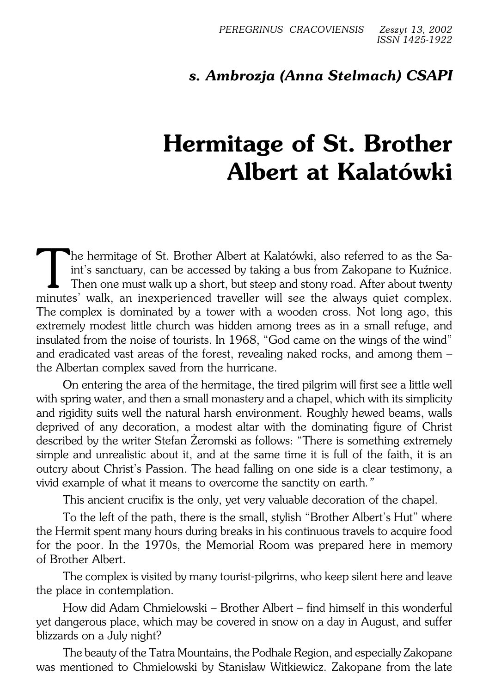## *s. Ambrozja (Anna Stelmach) CSAPI*

## **Hermitage of St. Brother Albert at Kalatówki**

The hermitage of St. Brother Albert at Kalatówki, also referred to as the Saint's sanctuary, can be accessed by taking a bus from Zakopane to Kuźnice.<br>Then one must walk up a short, but steep and stony road. After about tw The hermitage of St. Brother Albert at Kalatówki, also referred to as the Saint's sanctuary, can be accessed by taking a bus from Zakopane to Kuźnice. Then one must walk up a short, but steep and stony road. After about twenty The complex is dominated by a tower with a wooden cross. Not long ago, this extremely modest little church was hidden among trees as in a small refuge, and insulated from the noise of tourists. In 1968, "God came on the wings of the wind" and eradicated vast areas of the forest, revealing naked rocks, and among them – the Albertan complex saved from the hurricane.

On entering the area of the hermitage, the tired pilgrim will first see a little well with spring water, and then a small monastery and a chapel, which with its simplicity and rigidity suits well the natural harsh environment. Roughly hewed beams, walls deprived of any decoration, a modest altar with the dominating figure of Christ described by the writer Stefan Żeromski as follows: "There is something extremely simple and unrealistic about it, and at the same time it is full of the faith, it is an outcry about Christ's Passion. The head falling on one side is a clear testimony, a vivid example of what it means to overcome the sanctity on earth*."*

This ancient crucifix is the only, yet very valuable decoration of the chapel.

To the left of the path, there is the small, stylish "Brother Albert's Hut" where the Hermit spent many hours during breaks in his continuous travels to acquire food for the poor. In the 1970s, the Memorial Room was prepared here in memory of Brother Albert.

The complex is visited by many tourist−pilgrims, who keep silent here and leave the place in contemplation.

How did Adam Chmielowski – Brother Albert – find himself in this wonderful yet dangerous place, which may be covered in snow on a day in August, and suffer blizzards on a July night?

The beauty of the Tatra Mountains, the Podhale Region, and especially Zakopane was mentioned to Chmielowski by Stanisław Witkiewicz. Zakopane from thelate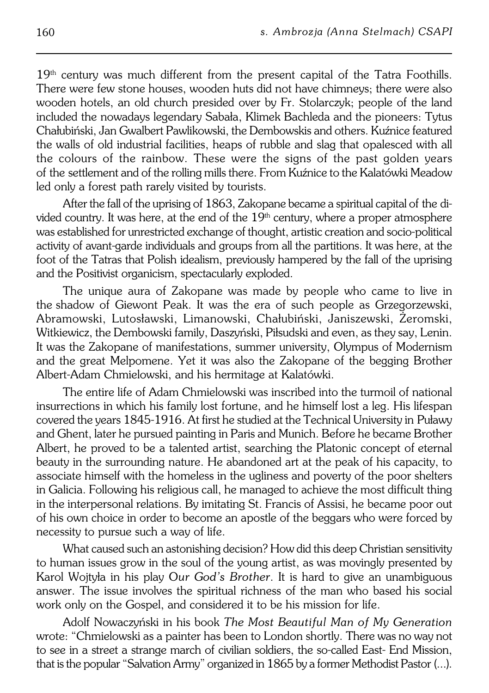$19<sup>th</sup>$  century was much different from the present capital of the Tatra Foothills. There were few stone houses, wooden huts did not have chimneys; there were also wooden hotels, an old church presided over by Fr. Stolarczyk; people of the land included the nowadays legendary Sabała, Klimek Bachleda and the pioneers: Tytus Chałubiński, Jan Gwalbert Pawlikowski, the Dembowskis and others. Kuźnice featured the walls of old industrial facilities, heaps of rubble and slag that opalesced with all the colours of the rainbow. These were the signs of the past golden years of the settlement and of the rolling mills there. From Kuźnice to the Kalatówki Meadow led only a forest path rarely visited by tourists.

After the fall of the uprising of 1863, Zakopane became a spiritual capital of the di− vided country. It was here, at the end of the  $19<sup>th</sup>$  century, where a proper atmosphere was established for unrestricted exchange of thought, artistic creation and socio−political activity of avant-garde individuals and groups from all the partitions. It was here, at the foot of the Tatras that Polish idealism, previously hampered by the fall of the uprising and the Positivist organicism, spectacularly exploded.

The unique aura of Zakopane was made by people who came to live in the shadow of Giewont Peak. It was the era of such people as Grzegorzewski, Abramowski, Lutosławski, Limanowski, Chałubiński, Janiszewski, Żeromski, Witkiewicz, the Dembowski family, Daszyński, Piłsudski and even, as they say, Lenin. It was the Zakopane of manifestations, summer university, Olympus of Modernism and the great Melpomene. Yet it was also the Zakopane of the begging Brother Albert−Adam Chmielowski, and his hermitage at Kalatówki.

The entire life of Adam Chmielowski was inscribed into the turmoil of national insurrections in which his family lost fortune, and he himself lost a leg. His lifespan covered the years 1845−1916. At first he studied at the Technical University inPuławy and Ghent, later he pursued painting in Paris and Munich. Before he became Brother Albert, he proved to be a talented artist, searching the Platonic concept of eternal beauty in the surrounding nature. He abandoned art at the peak of his capacity, to associate himself with the homeless in the ugliness and poverty of the poor shelters in Galicia. Following his religious call, he managed to achieve the most difficult thing in the interpersonal relations. By imitating St. Francis of Assisi, hebecame poor out of his own choice in order to become an apostle of the beggars who were forced by necessity to pursue such a way of life.

What caused such an astonishing decision? How did this deep Christian sensitivity to human issues grow in the soul of the young artist, as was movingly presented by Karol Wojtyła in his play O*ur God's Brother*. It is hard to give an unambiguous answer. The issue involves the spiritual richness of the man who based his social work only on the Gospel, and considered it to be his mission for life.

Adolf Nowaczyński in his book *The Most Beautiful Man of My Generation* wrote: "Chmielowski as a painter has been to London shortly. There was no way not to see in a street a strange march of civilian soldiers, the so−called East− End Mission, that is the popular "Salvation Army" organized in 1865 by a former Methodist Pastor(...).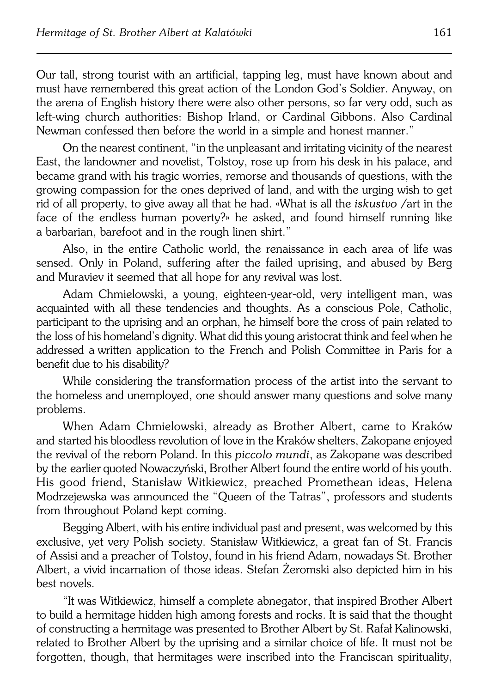Our tall, strong tourist with an artificial, tapping leg, must have known about and must have remembered this great action of the London God's Soldier. Anyway, on the arena of English history there were also other persons, so far very odd, such as left−wing church authorities: Bishop Irland, or Cardinal Gibbons. Also Cardinal Newman confessed then before the world in a simple and honest manner."

On the nearest continent, "in the unpleasant and irritating vicinity of the nearest East, the landowner and novelist, Tolstoy, rose up from his desk in his palace, and became grand with his tragic worries, remorse and thousands of questions, with the growing compassion for the ones deprived of land, and with the urging wish to get rid of all property, to give away all that he had. «What is all the *iskustvo* /art in the face of the endless human poverty?» he asked, and found himself running like a barbarian, barefoot and in the rough linen shirt."

Also, in the entire Catholic world, the renaissance in each area of life was sensed. Only in Poland, suffering after the failed uprising, and abused by Berg and Muraviev it seemed that all hope for any revival was lost.

Adam Chmielowski, a young, eighteen−year−old, very intelligent man, was acquainted with all these tendencies and thoughts. As a conscious Pole, Catholic, participant to the uprising and an orphan, he himself bore the cross of pain related to the loss of his homeland's dignity. What did this young aristocrat think and feel when he addressed awritten application to the French and Polish Committee in Paris for a benefit due to his disability?

While considering the transformation process of the artist into the servant to the homeless and unemployed, one should answer many questions and solve many problems.

When Adam Chmielowski, already as Brother Albert, came to Kraków and started his bloodless revolution of love in the Kraków shelters. Zakopane enjoyed the revival of the reborn Poland. In this *piccolo mundi*, as Zakopane was described bytheearlier quoted Nowaczyński, Brother Albert found the entire world of his youth. His good friend, Stanisław Witkiewicz, preached Promethean ideas, Helena Modrzejewska was announced the "Queen of the Tatras", professors and students from throughout Poland kept coming.

Begging Albert, with his entire individual past and present, was welcomed by this exclusive, yet very Polish society. Stanisław Witkiewicz, a great fan of St. Francis ofAssisi and a preacher of Tolstoy, found in his friend Adam, nowadays St. Brother Albert, a vivid incarnation of those ideas. Stefan Żeromski also depicted him in his best novels.

"It was Witkiewicz, himself a complete abnegator, that inspired Brother Albert to build a hermitage hidden high among forests and rocks. It is said that the thought of constructing a hermitage was presented to Brother Albert by St. Rafał Kalinowski, related to Brother Albert by the uprising and a similar choice of life. It must not be forgotten, though, that hermitages were inscribed into the Franciscan spirituality,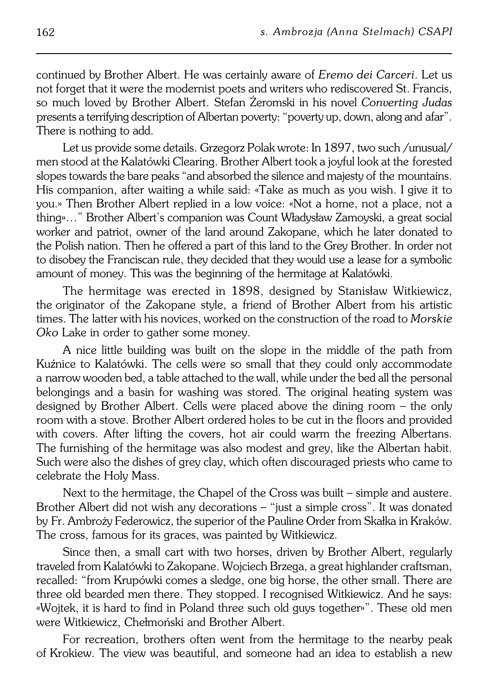continued by Brother Albert. He was certainly aware of *Eremo dei Carceri*. Let us not forget that it were the modernist poets and writers who rediscovered St. Francis, so much loved by Brother Albert. Stefan Żeromski in his novel *Converting Judas* presents a terrifying description of Albertan poverty: "poverty up, down, along andafar". There is nothing to add.

Let us provide some details. Grzegorz Polak wrote: In 1897, two such /unusual/ men stood at the Kalatówki Clearing. Brother Albert took a joyful look at the forested slopes towards the bare peaks "and absorbed the silence and majesty of the mountains. His companion, after waiting a while said: «Take as much as you wish. I give it to you.» Then Brother Albert replied in a low voice: «Not a home, not a place, not a thing»…" Brother Albert's companion was Count Władysław Zamoyski, a great social worker and patriot, owner of the land around Zakopane, which he later donated to the Polish nation. Then he offered a part of this land to the Grey Brother. In order not to disobey the Franciscan rule, they decided that they would use a lease for a symbolic amount of money. This was the beginning of the hermitage at Kalatówki.

The hermitage was erected in 1898, designed by Stanisław Witkiewicz, the originator of the Zakopane style, a friend of Brother Albert from his artistic times. The latter with his novices, worked on the construction of the road to Morskie *Oko* Lake in order to gather some money.

A nice little building was built on the slope in the middle of the path from Kuźnice to Kalatówki. The cells were so small that they could only accommodate a narrow wooden bed, a table attached to the wall, while under the bed all the personal belongings and a basin for washing was stored. The original heating system was designed by Brother Albert. Cells were placed above the dining room – the only room with a stove. Brother Albert ordered holes to be cut in the floors and provided with covers. After lifting the covers, hot air could warm the freezing Albertans. The furnishing of the hermitage was also modest and grey, like the Albertan habit. Such were also the dishes of grey clay, which often discouraged priests who came to celebrate the Holy Mass.

Next to the hermitage, the Chapel of the Cross was built – simple and austere. Brother Albert did not wish any decorations – "just a simple cross". It was donated byFr. Ambroży Federowicz, the superior of the Pauline Order from Skałka in Kraków. The cross, famous for its graces, was painted by Witkiewicz.

Since then, a small cart with two horses, driven by Brother Albert, regularly traveled from Kalatówki to Zakopane. Wojciech Brzega, a great highlander craftsman, recalled: "from Krupówki comes a sledge, one big horse, the other small. There are three old bearded men there. They stopped. I recognised Witkiewicz. Andhe says: «Wojtek, it is hard to find in Poland three such old guys together»". These old men were Witkiewicz, Chełmoński and Brother Albert.

For recreation, brothers often went from the hermitage to the nearby peak ofKrokiew. The view was beautiful, and someone had an idea to establish a new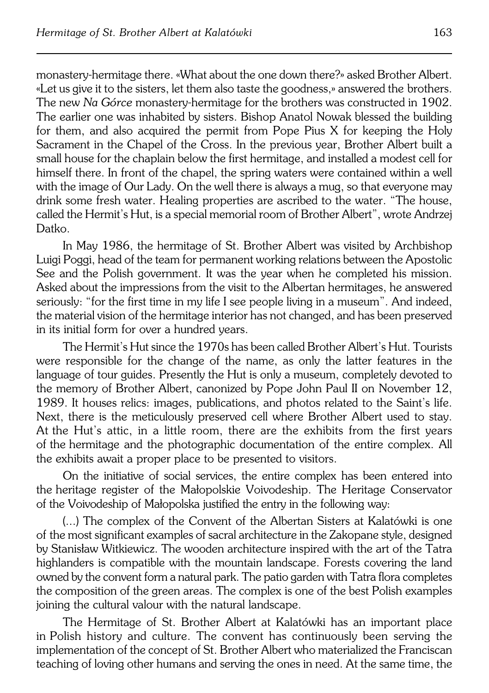monastery−hermitage there. «What about the one down there?» asked Brother Albert. «Let us give it to the sisters, let them also taste the goodness,» answered the brothers. The new *Na Górce* monastery-hermitage for the brothers was constructed in 1902. The earlier one was inhabited by sisters. Bishop Anatol Nowak blessed the building for them, and also acquired the permit from Pope Pius X for keeping the Holy Sacrament in the Chapel of the Cross. In the previous year, Brother Albert built a small house for the chaplain below the first hermitage, and installed a modest cell for himself there. In front of the chapel, the spring waters were contained within a well with the image of Our Lady. On the well there is always a mug, so that everyone may drink some fresh water. Healing properties are ascribed to the water. "The house, called the Hermit's Hut, is a special memorial room of Brother Albert", wrote Andrzej Datko.

In May 1986, the hermitage of St. Brother Albert was visited by Archbishop Luigi Poggi, head of the team for permanent working relations between the Apostolic See and the Polish government. It was the year when he completed his mission. Asked about the impressions from the visit to the Albertan hermitages, he answered seriously: "for the first time in my life I see people living in a museum". And indeed, the material vision of the hermitage interior has not changed, and has been preserved in its initial form for over a hundred years.

The Hermit's Hut since the 1970s has been called Brother Albert's Hut. Tourists were responsible for the change of the name, as only the latter features in the language of tour guides. Presently the Hut is only a museum, completely devoted to the memory of Brother Albert, canonized by Pope John Paul II on November 12, 1989. It houses relics: images, publications, and photos related to the Saint's life. Next, there is the meticulously preserved cell where Brother Albert used to stay. At the Hut's attic, in a little room, there are the exhibits from the first years of the hermitage and the photographic documentation of the entire complex. All the exhibits await a proper place to be presented to visitors.

On the initiative of social services, the entire complex has been entered into the heritage register of the Małopolskie Voivodeship. The Heritage Conservator of the Voivodeship of Małopolska justified the entry in the following way:

(...) The complex of the Convent of the Albertan Sisters at Kalatówki is one of the most significant examples of sacral architecture in the Zakopane style, designed by Stanisław Witkiewicz. The wooden architecture inspired with the art of the Tatra highlanders is compatible with the mountain landscape. Forests covering the land owned by the convent form a natural park. The patio garden with Tatra flora completes the composition of the green areas. The complex is one of the best Polish examples joining the cultural valour with the natural landscape.

The Hermitage of St. Brother Albert at Kalatówki has an important place inPolish history and culture. The convent has continuously been serving the implementation of the concept of St. Brother Albert who materialized the Franciscan teaching of loving other humans and serving the ones in need. At the same time, the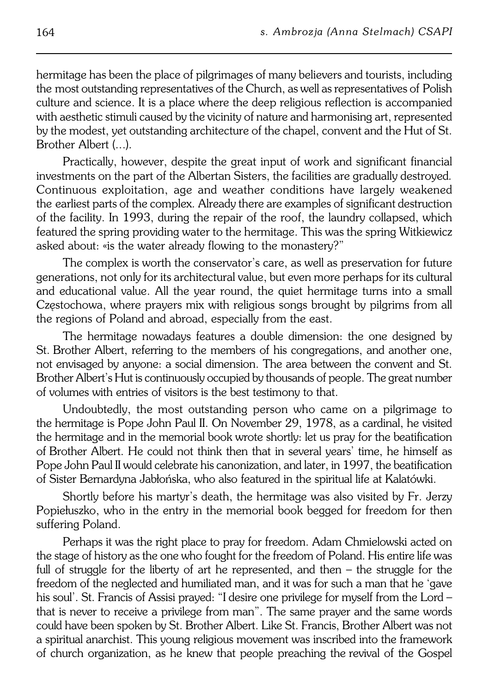hermitage has been the place of pilgrimages of many believers and tourists, including the most outstanding representatives of the Church, as well as representatives of Polish culture and science. It is a place where the deep religious reflection is accompanied with aesthetic stimuli caused by the vicinity of nature and harmonising art, represented by the modest, yet outstanding architecture of the chapel, convent and the Hut of St. Brother Albert (...).

Practically, however, despite the great input of work and significant financial investments on the part of the Albertan Sisters, the facilities are gradually destroyed*.* Continuous exploitation, age and weather conditions have largely weakened the earliest parts of the complex. Already there are examples of significant destruction of the facility. In 1993, during the repair of the roof, the laundry collapsed, which featured the spring providing water to the hermitage. This was the spring Witkiewicz asked about: «is the water already flowing to the monastery?"

The complex is worth the conservator's care, as well as preservation for future generations, not only for its architectural value, but even more perhaps for its cultural and educational value. All the year round, the quiet hermitage turns into a small Częstochowa, where prayers mix with religious songs brought by pilgrims from all the regions of Poland and abroad, especially from the east.

The hermitage nowadays features a double dimension: the one designed by St.Brother Albert, referring to the members of his congregations, and another one, not envisaged by anyone: a social dimension. The area between the convent and St. Brother Albert's Hut is continuously occupied by thousands of people. The great number of volumes with entries of visitors is the best testimony to that.

Undoubtedly, the most outstanding person who came on a pilgrimage to the hermitage is Pope John Paul II. On November 29, 1978, as a cardinal, he visited the hermitage and in the memorial book wrote shortly: let us pray for the beatification ofBrother Albert. He could not think then that in several years' time, he himself as Pope John Paul II would celebrate his canonization, and later, in 1997, the beatification of Sister Bernardyna Jabłońska, who also featured in the spiritual life at Kalatówki.

Shortly before his martyr's death, the hermitage was also visited by Fr. Jerzy Popiełuszko, who in the entry in the memorial book begged for freedom for then suffering Poland.

Perhaps it was the right place to pray for freedom. Adam Chmielowski acted on the stage of history as the one who fought for the freedom of Poland. His entire life was full of struggle for the liberty of art he represented, and then – the struggle for the freedom of the neglected and humiliated man, and it was for such a man that he 'gave his soul'. St. Francis of Assisi prayed: "I desire one privilege for myself from the Lord – that is never to receive a privilege from man". The same prayer and the same words could have been spoken by St. Brother Albert. Like St. Francis, Brother Albert was not a spiritual anarchist. This young religious movement was inscribed into the framework of church organization, as he knew that people preaching therevival of the Gospel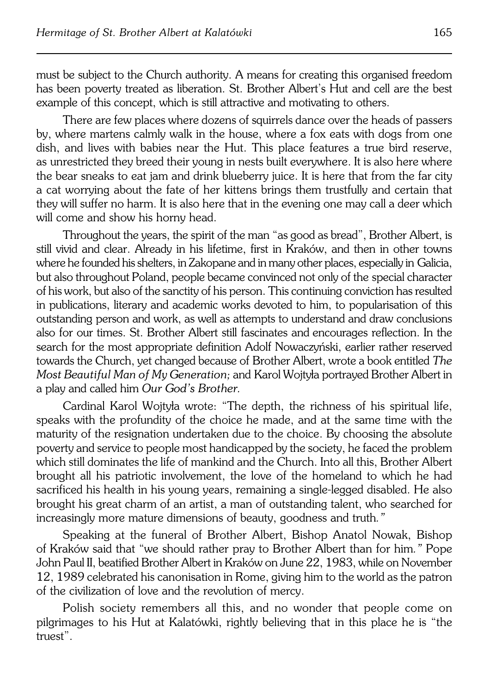must be subject to the Church authority. A means for creating this organised freedom has been poverty treated as liberation. St. Brother Albert's Hut and cell are the best example of this concept, which is still attractive and motivating to others.

There are few places where dozens of squirrels dance over the heads of passers by, where martens calmly walk in the house, where a fox eats with dogs from one dish, and lives with babies near the Hut. This place features a true bird reserve, as unrestricted they breed their young in nests built everywhere. It is also here where the bear sneaks to eat jam and drink blueberry juice. It is here that from the far city a cat worrying about the fate of her kittens brings them trustfully and certain that they will suffer no harm. It is also here that in the evening one may call a deer which will come and show his horny head.

Throughout the years, the spirit of the man "as good as bread", Brother Albert, is still vivid and clear. Already in his lifetime, first in Kraków, and then in other towns where he founded his shelters, in Zakopane and in many other places, especially inGalicia, but also throughout Poland, people became convinced not only of the special character of his work, but also of the sanctity of his person. This continuing conviction has resulted in publications, literary and academic works devoted to him, to popularisation of this outstanding person and work, as well as attempts to understand and draw conclusions also for our times. St. Brother Albert still fascinates andencourages reflection. In the search for the most appropriate definition Adolf Nowaczyński, earlier rather reserved towards the Church, yet changed because of Brother Albert, wrote a book entitled *The Most Beautiful Man of My Generation;* and Karol Wojtyła portrayed Brother Albert in a play and called him *Our God's Brother.*

Cardinal Karol Wojtyła wrote: "The depth, the richness of his spiritual life, speaks with the profundity of the choice he made, and at the same time with the maturity of the resignation undertaken due to the choice. By choosing the absolute poverty and service to people most handicapped by the society, he faced the problem which still dominates the life of mankind and the Church. Into all this, Brother Albert brought all his patriotic involvement, the love of the homeland to which he had sacrificed his health in his young years, remaining a single−legged disabled. He also brought his great charm of an artist, a man of outstanding talent, who searched for increasingly more mature dimensions of beauty, goodness and truth*."*

Speaking at the funeral of Brother Albert, Bishop Anatol Nowak, Bishop ofKraków said that "we should rather pray to Brother Albert than for him*."* Pope John Paul II, beatified Brother Albert in Kraków on June 22, 1983, while on November 12, 1989 celebrated his canonisation in Rome, giving him to the world as the patron of the civilization of love and the revolution of mercy.

Polish society remembers all this, and no wonder that people come on pilgrimages to his Hut at Kalatówki, rightly believing that in this place he is "the truest".